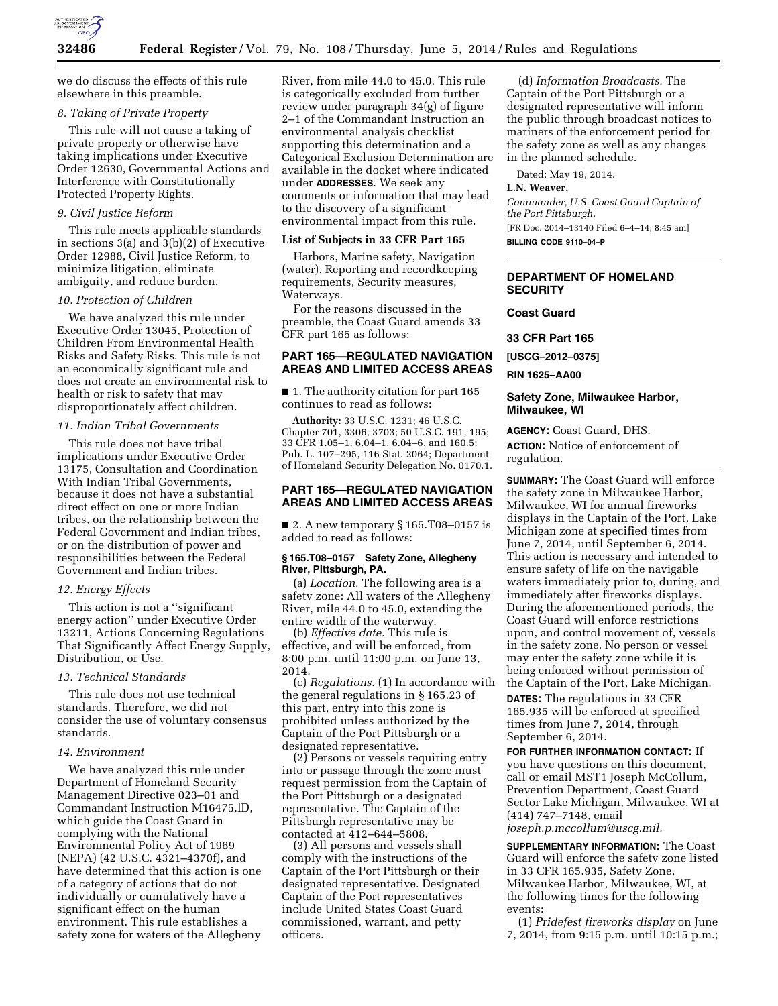

we do discuss the effects of this rule elsewhere in this preamble.

## *8. Taking of Private Property*

This rule will not cause a taking of private property or otherwise have taking implications under Executive Order 12630, Governmental Actions and Interference with Constitutionally Protected Property Rights.

#### *9. Civil Justice Reform*

This rule meets applicable standards in sections 3(a) and 3(b)(2) of Executive Order 12988, Civil Justice Reform, to minimize litigation, eliminate ambiguity, and reduce burden.

#### *10. Protection of Children*

We have analyzed this rule under Executive Order 13045, Protection of Children From Environmental Health Risks and Safety Risks. This rule is not an economically significant rule and does not create an environmental risk to health or risk to safety that may disproportionately affect children.

# *11. Indian Tribal Governments*

This rule does not have tribal implications under Executive Order 13175, Consultation and Coordination With Indian Tribal Governments, because it does not have a substantial direct effect on one or more Indian tribes, on the relationship between the Federal Government and Indian tribes, or on the distribution of power and responsibilities between the Federal Government and Indian tribes.

#### *12. Energy Effects*

This action is not a ''significant energy action'' under Executive Order 13211, Actions Concerning Regulations That Significantly Affect Energy Supply, Distribution, or Use.

# *13. Technical Standards*

This rule does not use technical standards. Therefore, we did not consider the use of voluntary consensus standards.

## *14. Environment*

We have analyzed this rule under Department of Homeland Security Management Directive 023–01 and Commandant Instruction M16475.lD, which guide the Coast Guard in complying with the National Environmental Policy Act of 1969 (NEPA) (42 U.S.C. 4321–4370f), and have determined that this action is one of a category of actions that do not individually or cumulatively have a significant effect on the human environment. This rule establishes a safety zone for waters of the Allegheny

River, from mile 44.0 to 45.0. This rule is categorically excluded from further review under paragraph 34(g) of figure 2–1 of the Commandant Instruction an environmental analysis checklist supporting this determination and a Categorical Exclusion Determination are available in the docket where indicated under **ADDRESSES**. We seek any comments or information that may lead to the discovery of a significant environmental impact from this rule.

### **List of Subjects in 33 CFR Part 165**

Harbors, Marine safety, Navigation (water), Reporting and recordkeeping requirements, Security measures, Waterways.

For the reasons discussed in the preamble, the Coast Guard amends 33 CFR part 165 as follows:

# **PART 165—REGULATED NAVIGATION AREAS AND LIMITED ACCESS AREAS**

■ 1. The authority citation for part 165 continues to read as follows:

**Authority:** 33 U.S.C. 1231; 46 U.S.C. Chapter 701, 3306, 3703; 50 U.S.C. 191, 195; 33 CFR 1.05–1, 6.04–1, 6.04–6, and 160.5; Pub. L. 107–295, 116 Stat. 2064; Department of Homeland Security Delegation No. 0170.1.

## **PART 165—REGULATED NAVIGATION AREAS AND LIMITED ACCESS AREAS**

■ 2. A new temporary § 165.T08–0157 is added to read as follows:

### **§ 165.T08–0157 Safety Zone, Allegheny River, Pittsburgh, PA.**

(a) *Location.* The following area is a safety zone: All waters of the Allegheny River, mile 44.0 to 45.0, extending the entire width of the waterway.

(b) *Effective date.* This rule is effective, and will be enforced, from 8:00 p.m. until 11:00 p.m. on June 13, 2014.

(c) *Regulations.* (1) In accordance with the general regulations in § 165.23 of this part, entry into this zone is prohibited unless authorized by the Captain of the Port Pittsburgh or a designated representative.

(2) Persons or vessels requiring entry into or passage through the zone must request permission from the Captain of the Port Pittsburgh or a designated representative. The Captain of the Pittsburgh representative may be contacted at 412–644–5808.

(3) All persons and vessels shall comply with the instructions of the Captain of the Port Pittsburgh or their designated representative. Designated Captain of the Port representatives include United States Coast Guard commissioned, warrant, and petty officers.

(d) *Information Broadcasts.* The Captain of the Port Pittsburgh or a designated representative will inform the public through broadcast notices to mariners of the enforcement period for the safety zone as well as any changes in the planned schedule.

Dated: May 19, 2014.

# **L.N. Weaver,**

*Commander, U.S. Coast Guard Captain of the Port Pittsburgh.*  [FR Doc. 2014–13140 Filed 6–4–14; 8:45 am]

**BILLING CODE 9110–04–P** 

## **DEPARTMENT OF HOMELAND SECURITY**

**Coast Guard** 

**33 CFR Part 165** 

**[USCG–2012–0375]** 

**RIN 1625–AA00** 

# **Safety Zone, Milwaukee Harbor, Milwaukee, WI**

**AGENCY:** Coast Guard, DHS. **ACTION:** Notice of enforcement of regulation.

**SUMMARY:** The Coast Guard will enforce the safety zone in Milwaukee Harbor, Milwaukee, WI for annual fireworks displays in the Captain of the Port, Lake Michigan zone at specified times from June 7, 2014, until September 6, 2014. This action is necessary and intended to ensure safety of life on the navigable waters immediately prior to, during, and immediately after fireworks displays. During the aforementioned periods, the Coast Guard will enforce restrictions upon, and control movement of, vessels in the safety zone. No person or vessel may enter the safety zone while it is being enforced without permission of the Captain of the Port, Lake Michigan.

**DATES:** The regulations in 33 CFR 165.935 will be enforced at specified times from June 7, 2014, through September 6, 2014.

**FOR FURTHER INFORMATION CONTACT:** If you have questions on this document, call or email MST1 Joseph McCollum, Prevention Department, Coast Guard Sector Lake Michigan, Milwaukee, WI at (414) 747–7148, email *[joseph.p.mccollum@uscg.mil.](mailto:joseph.p.mccollum@uscg.mil)* 

**SUPPLEMENTARY INFORMATION:** The Coast Guard will enforce the safety zone listed in 33 CFR 165.935, Safety Zone, Milwaukee Harbor, Milwaukee, WI, at the following times for the following events:

(1) *Pridefest fireworks display* on June 7, 2014, from 9:15 p.m. until 10:15 p.m.;